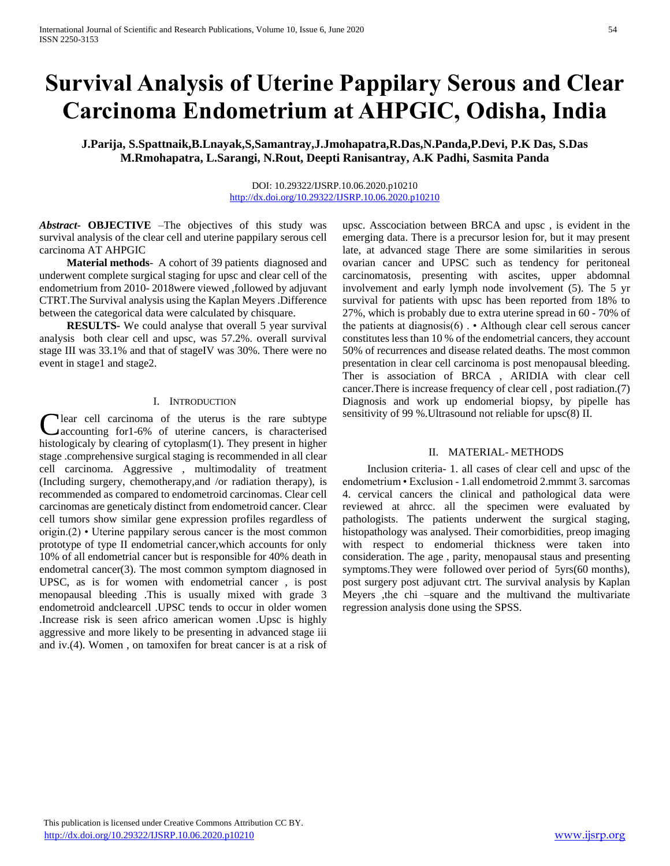# **Survival Analysis of Uterine Pappilary Serous and Clear Carcinoma Endometrium at AHPGIC, Odisha, India**

**J.Parija, S.Spattnaik,B.Lnayak,S,Samantray,J.Jmohapatra,R.Das,N.Panda,P.Devi, P.K Das, S.Das M.Rmohapatra, L.Sarangi, N.Rout, Deepti Ranisantray, A.K Padhi, Sasmita Panda**

### DOI: 10.29322/IJSRP.10.06.2020.p10210 <http://dx.doi.org/10.29322/IJSRP.10.06.2020.p10210>

*Abstract***- OBJECTIVE** –The objectives of this study was survival analysis of the clear cell and uterine pappilary serous cell carcinoma AT AHPGIC

 **Material methods**- A cohort of 39 patients diagnosed and underwent complete surgical staging for upsc and clear cell of the endometrium from 2010- 2018were viewed ,followed by adjuvant CTRT.The Survival analysis using the Kaplan Meyers .Difference between the categorical data were calculated by chisquare.

**RESULTS-** We could analyse that overall 5 year survival analysis both clear cell and upsc, was 57.2%. overall survival stage III was 33.1% and that of stageIV was 30%. There were no event in stage1 and stage2.

#### I. INTRODUCTION

Clear cell carcinoma of the uterus is the rare subtype accounting for 1-6% of uterine cancers, is characterised accounting for1-6% of uterine cancers, is characterised histologicaly by clearing of cytoplasm(1). They present in higher stage .comprehensive surgical staging is recommended in all clear cell carcinoma. Aggressive , multimodality of treatment (Including surgery, chemotherapy,and /or radiation therapy), is recommended as compared to endometroid carcinomas. Clear cell carcinomas are geneticaly distinct from endometroid cancer. Clear cell tumors show similar gene expression profiles regardless of origin.(2) • Uterine pappilary serous cancer is the most common prototype of type II endometrial cancer,which accounts for only 10% of all endometrial cancer but is responsible for 40% death in endometral cancer(3). The most common symptom diagnosed in UPSC, as is for women with endometrial cancer , is post menopausal bleeding .This is usually mixed with grade 3 endometroid andclearcell .UPSC tends to occur in older women .Increase risk is seen africo american women .Upsc is highly aggressive and more likely to be presenting in advanced stage iii and iv.(4). Women , on tamoxifen for breat cancer is at a risk of

upsc. Asscociation between BRCA and upsc , is evident in the emerging data. There is a precursor lesion for, but it may present late, at advanced stage There are some similarities in serous ovarian cancer and UPSC such as tendency for peritoneal carcinomatosis, presenting with ascites, upper abdomnal involvement and early lymph node involvement (5). The 5 yr survival for patients with upsc has been reported from 18% to 27%, which is probably due to extra uterine spread in 60 - 70% of the patients at diagnosis(6) . • Although clear cell serous cancer constitutes less than 10 % of the endometrial cancers, they account 50% of recurrences and disease related deaths. The most common presentation in clear cell carcinoma is post menopausal bleeding. Ther is association of BRCA , ARIDIA with clear cell cancer.There is increase frequency of clear cell , post radiation.(7) Diagnosis and work up endomerial biopsy, by pipelle has sensitivity of 99 %.Ultrasound not reliable for upsc(8) II.

### II. MATERIAL- METHODS

 Inclusion criteria- 1. all cases of clear cell and upsc of the endometrium • Exclusion - 1.all endometroid 2.mmmt 3. sarcomas 4. cervical cancers the clinical and pathological data were reviewed at ahrcc. all the specimen were evaluated by pathologists. The patients underwent the surgical staging, histopathology was analysed. Their comorbidities, preop imaging with respect to endomerial thickness were taken into consideration. The age , parity, menopausal staus and presenting symptoms.They were followed over period of 5yrs(60 months), post surgery post adjuvant ctrt. The survival analysis by Kaplan Meyers ,the chi –square and the multivand the multivariate regression analysis done using the SPSS.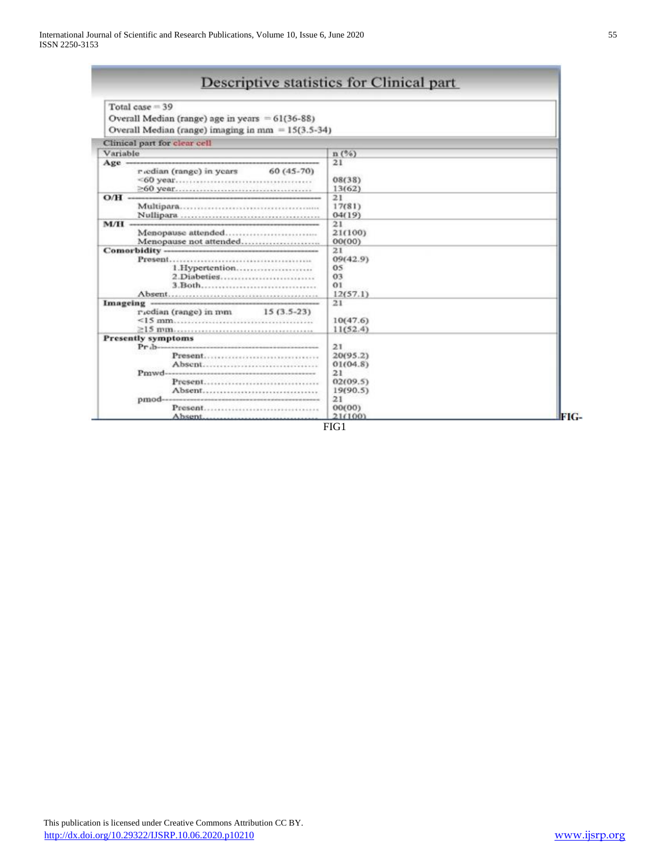| Total case $= 39$<br>Overall Median (range) age in years $= 61(36-88)$<br>Overall Median (range) imaging in $mm = 15(3.5-34)$ |                                                 |  |
|-------------------------------------------------------------------------------------------------------------------------------|-------------------------------------------------|--|
| Clinical part for clear cell                                                                                                  |                                                 |  |
| Variable                                                                                                                      | n(%)                                            |  |
| $60(45-70)$<br>r cdian (range) in years                                                                                       | 21<br>08(38)<br>13(62)                          |  |
| $O/H -$<br>water the contribution of the contribution of the contribution of the contribution of the contribution of the      | 21<br>17(81)<br>04(19)                          |  |
| Menopause attended                                                                                                            | 21<br>21(100)<br>00(00)                         |  |
| 1.Hypertention<br>2.Diabeties<br>3.Both                                                                                       | 21<br>09(42.9)<br>05<br>03<br>01<br>12(57.1)    |  |
| $r_{\text{u}}$ codian (range) in mm $15(3.5-23)$                                                                              | 21<br>10(47.6)<br>11(52.4)                      |  |
| <b>Presently symptoms</b><br>Present<br>Absent                                                                                | 21<br>20(95.2)<br>01(04.8)<br>21                |  |
| Present<br>Absent<br>Present<br>Absent                                                                                        | 02(09.5)<br>19(90.5)<br>21<br>00(00)<br>21(100) |  |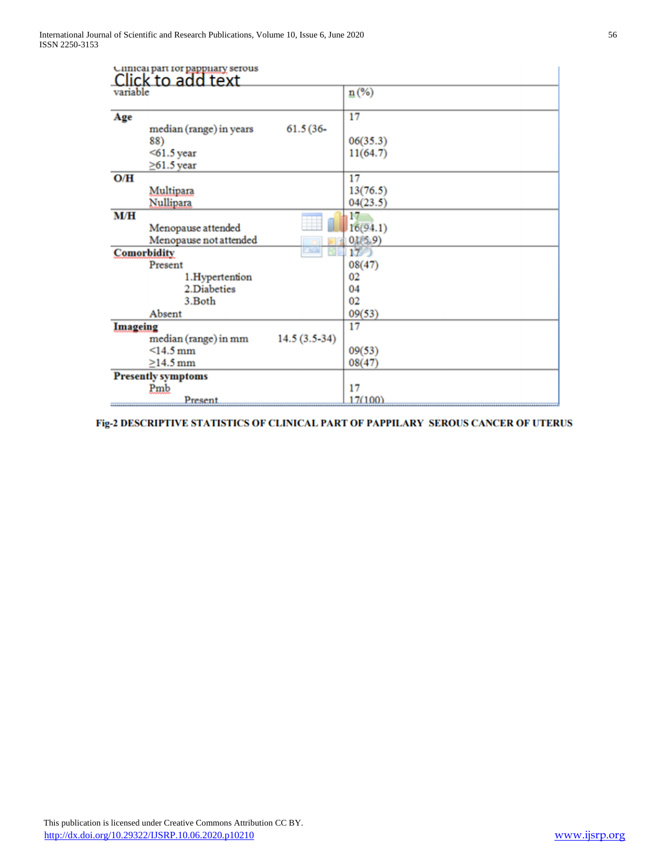|          | Click to add text                                                                  |                            |
|----------|------------------------------------------------------------------------------------|----------------------------|
| variable |                                                                                    | $n\left(\%\right)$         |
| Age      | $61.5(36 -$<br>median (range) in years<br>88)<br>$<$ 61.5 year<br>$\geq$ 61.5 year | 17<br>06(35.3)<br>11(64.7) |
| O/H      | Multipara<br>Nullipara                                                             | 17<br>13(76.5)<br>04(23.5) |
| M/H      | Menopause attended<br>Menopause not attended                                       | 17<br>16(94.1)<br>01(5.9)  |
|          | $\sqrt{2}$<br><b>Comorbidity</b><br>M.                                             | 1L                         |
|          | Present                                                                            | 08(47)                     |
|          | 1.Hypertention                                                                     | 02                         |
|          | 2.Diabeties                                                                        | 04                         |
|          | 3.Both<br>Absent                                                                   | 02<br>09(53)               |
| Imageing |                                                                                    | 17                         |
|          | $14.5(3.5-34)$<br>median (range) in mm                                             |                            |
|          | $<14.5$ mm                                                                         | 09(53)                     |
|          | $>14.5$ mm                                                                         | 08(47)                     |
|          | <b>Presently symptoms</b>                                                          |                            |
|          | Pmb                                                                                | 17                         |
|          | Present                                                                            | 17(100)                    |

Fig-2 DESCRIPTIVE STATISTICS OF CLINICAL PART OF PAPPILARY SEROUS CANCER OF UTERUS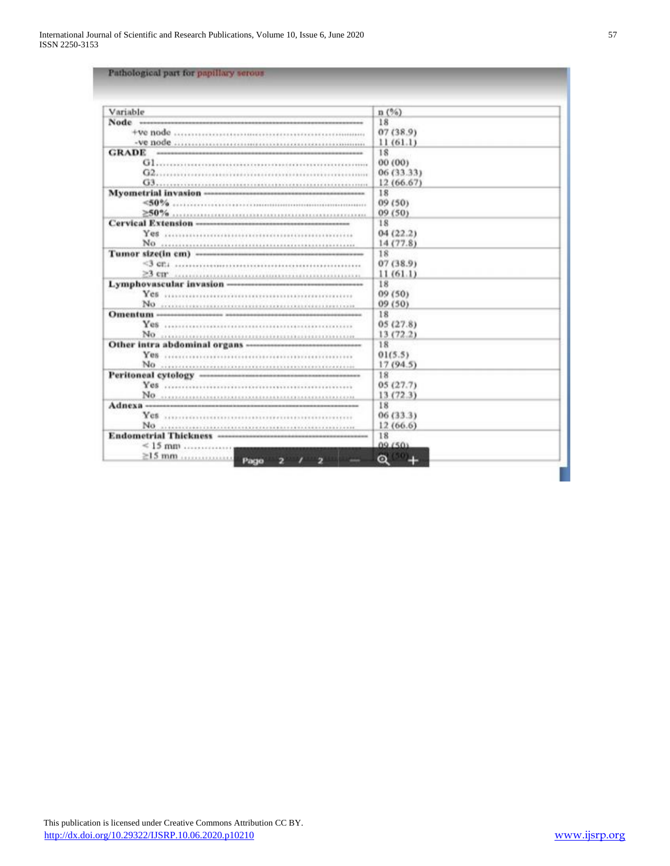| Variable                                                                                                                                                                                                                       | n(%)       |
|--------------------------------------------------------------------------------------------------------------------------------------------------------------------------------------------------------------------------------|------------|
|                                                                                                                                                                                                                                | 18         |
|                                                                                                                                                                                                                                | 07(38.9)   |
|                                                                                                                                                                                                                                | 11(61.1)   |
| <b>GRADE</b>                                                                                                                                                                                                                   | 18         |
| Glasses and continuous community of the community of the community of the community of the community of the community of the community of the community of the community of the community of the community of the community of | 00 (00)    |
|                                                                                                                                                                                                                                | 06 (33.33) |
|                                                                                                                                                                                                                                | 12(66.67)  |
|                                                                                                                                                                                                                                | 18         |
|                                                                                                                                                                                                                                | 09 (50)    |
|                                                                                                                                                                                                                                | 09 (50)    |
|                                                                                                                                                                                                                                | 18         |
|                                                                                                                                                                                                                                | 04(22.2)   |
|                                                                                                                                                                                                                                | 14(77.8)   |
|                                                                                                                                                                                                                                | 18         |
|                                                                                                                                                                                                                                | 07(38.9)   |
|                                                                                                                                                                                                                                | 11(61.1)   |
|                                                                                                                                                                                                                                | 18         |
|                                                                                                                                                                                                                                | 09 (50)    |
|                                                                                                                                                                                                                                | 09(50)     |
|                                                                                                                                                                                                                                | 18         |
|                                                                                                                                                                                                                                | 05(27.8)   |
|                                                                                                                                                                                                                                | 13(72.2)   |
|                                                                                                                                                                                                                                | 18         |
|                                                                                                                                                                                                                                | 01(5.5)    |
|                                                                                                                                                                                                                                | 17(94.5)   |
|                                                                                                                                                                                                                                | 18         |
|                                                                                                                                                                                                                                | 05(27.7)   |
|                                                                                                                                                                                                                                | 13(72.3)   |
|                                                                                                                                                                                                                                | 18         |
|                                                                                                                                                                                                                                | 06(33.3)   |
|                                                                                                                                                                                                                                | 12(66.6)   |
|                                                                                                                                                                                                                                | 18         |
| $\leq 15$ mm                                                                                                                                                                                                                   | 09.603     |
| 1 <sup>2</sup><br>$\rightarrow$                                                                                                                                                                                                | $\bullet$  |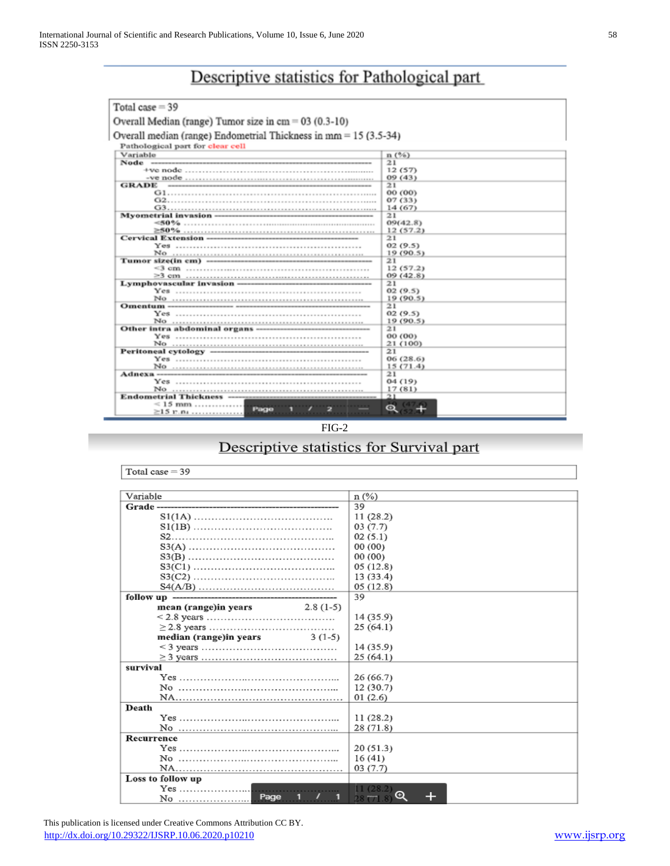## Descriptive statistics for Pathological part

| Total case $=$ 39                                                  |               |
|--------------------------------------------------------------------|---------------|
| Overall Median (range) Tumor size in $cm = 03$ (0.3-10)            |               |
| Overall median (range) Endometrial Thickness in $mm = 15$ (3.5-34) |               |
| Pathological part for clear cell                                   |               |
| Variable                                                           | n(%)          |
|                                                                    | 21            |
|                                                                    | 12(57)        |
|                                                                    | 09(43)        |
| GRADE                                                              | 21            |
|                                                                    | 00 (00)       |
|                                                                    | 07(33)        |
|                                                                    | 14 (67)       |
|                                                                    | 21            |
|                                                                    | 09(42.8)      |
|                                                                    | 12(57.2)      |
|                                                                    | 21            |
|                                                                    | 02(9.5)       |
|                                                                    | 19 (90.5)     |
|                                                                    | 21            |
|                                                                    | 12(57.2)      |
|                                                                    | 09(42.8)      |
|                                                                    | 21            |
|                                                                    | 02(9.5)       |
|                                                                    | 19 (90.5)     |
|                                                                    | 21<br>02(9.5) |
|                                                                    | 19(90.5)      |
|                                                                    | 21            |
|                                                                    | 00 (00)       |
|                                                                    | 21 (100)      |
|                                                                    | 21            |
|                                                                    | 06 (28.6)     |
|                                                                    | 15(71.4)      |
|                                                                    | 21            |
|                                                                    | 04(19)        |
|                                                                    | 17(81)        |
|                                                                    | 21            |
| $\leq 15$ mm<br>Page                                               |               |
| $\geq$ 15 r.n.                                                     |               |
|                                                                    |               |

FIG-2

## Descriptive statistics for Survival part

| Total case $=$ 39                                                                               |               |
|-------------------------------------------------------------------------------------------------|---------------|
| Variable                                                                                        | $n$ (%)       |
| Grade-                                                                                          | 39            |
|                                                                                                 | 11(28.2)      |
|                                                                                                 | 03(7.7)       |
|                                                                                                 | 02(5.1)       |
|                                                                                                 | 00(00)        |
|                                                                                                 | 00(00)        |
|                                                                                                 | 05(12.8)      |
|                                                                                                 | 13(33.4)      |
|                                                                                                 |               |
|                                                                                                 | 05(12.8)      |
| follow up --------------------                                                                  | 39            |
| $2.8(1-5)$<br>mean (range)in years                                                              |               |
|                                                                                                 | 14(35.9)      |
|                                                                                                 | 25(64.1)      |
| median (range) in years<br>$3(1-5)$                                                             |               |
|                                                                                                 | 14(35.9)      |
|                                                                                                 | 25(64.1)      |
| survival                                                                                        |               |
| $Yes \dots \dots \dots \dots \dots \dots \dots \dots \dots \dots \dots \dots \dots \dots \dots$ | 26 (66.7)     |
|                                                                                                 | 12 (30.7)     |
|                                                                                                 | 01(2.6)       |
| Death                                                                                           |               |
|                                                                                                 | 11(28.2)      |
|                                                                                                 | 28 (71.8)     |
| Recurrence                                                                                      |               |
| $Yes$                                                                                           | 20(51.3)      |
|                                                                                                 | 16(41)        |
|                                                                                                 | 03(7.7)       |
| Loss to follow up                                                                               |               |
| $Yes \dots \dots \dots \dots \dots \dots$                                                       |               |
| Page<br>No                                                                                      | Q<br>28(71.8) |

 This publication is licensed under Creative Commons Attribution CC BY. <http://dx.doi.org/10.29322/IJSRP.10.06.2020.p10210> [www.ijsrp.org](http://ijsrp.org/)

t.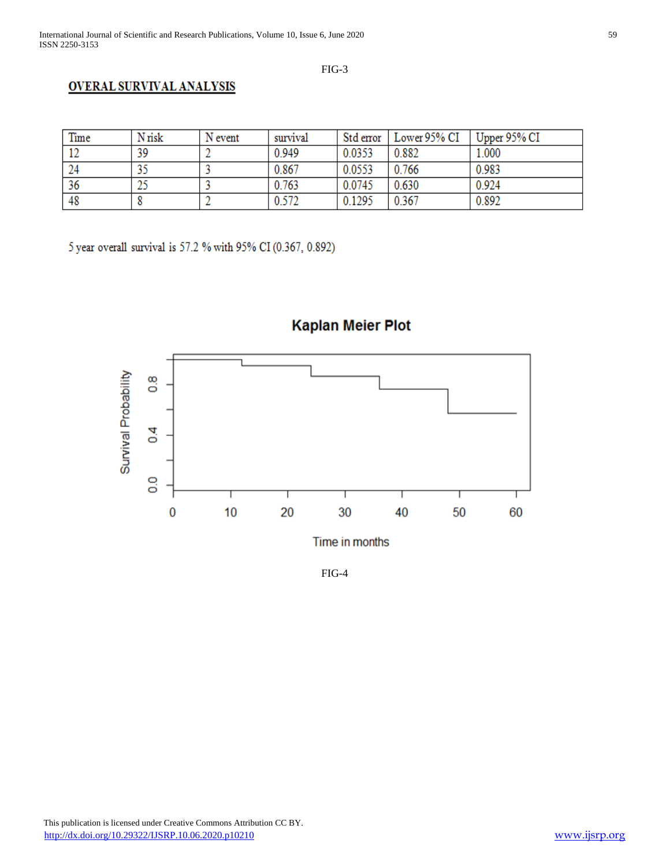FIG-3

## **OVERAL SURVIVAL ANALYSIS**

| Time | N risk | N event | survival | Std error | Lower 95% CI | Upper 95% CI |
|------|--------|---------|----------|-----------|--------------|--------------|
| ∸    | 39     |         | 0.949    | 0.0353    | 0.882        | 1.000        |
| 24   |        |         | 0.867    | 0.0553    | 0.766        | 0.983        |
| 36   | دمد    |         | 0.763    | 0.0745    | 0.630        | 0.924        |
| 48   |        |         | 0.572    | 0.1295    | 0.367        | 0.892        |

5 year overall survival is 57.2 % with 95% CI (0.367, 0.892)



**Kaplan Meier Plot** 

FIG-4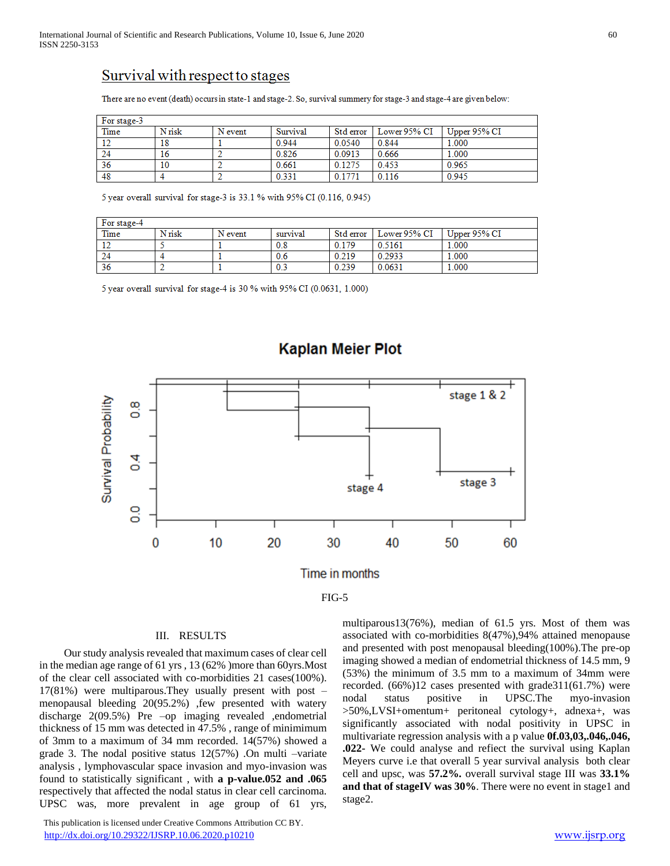## Survival with respect to stages

There are no event (death) occurs in state-1 and stage-2. So, survival summery for stage-3 and stage-4 are given below:

| For stage-3 |        |         |          |           |              |              |
|-------------|--------|---------|----------|-----------|--------------|--------------|
| Time        | N risk | N event | Survival | Std error | Lower 95% CI | Upper 95% CI |
| 12          | 18     |         | 0.944    | 0.0540    | 0.844        | 1.000        |
| 24          | 16     |         | 0.826    | 0.0913    | 0.666        | 1.000        |
| 36          | 10     |         | 0.661    | 0.1275    | 0.453        | 0.965        |
| 48          |        |         | 0.331    | 0 1771    | 0.116        | 0.945        |

5 year overall survival for stage-3 is 33.1 % with 95% CI (0.116, 0.945)

| For stage-4 |        |         |          |           |              |              |
|-------------|--------|---------|----------|-----------|--------------|--------------|
| Time        | N risk | N event | survival | Std error | Lower 95% CI | Upper 95% CI |
| 14          |        |         | 0.8      | 0.179     | 0.5161       | 1.000        |
| 24          |        |         | 0.6      | 0.219     | 0.2933       | 1.000        |
| 36          |        |         | 0.3      | 0.239     | 0.0631       | 1.000        |

5 year overall survival for stage-4 is 30 % with 95% CI (0.0631, 1.000)



## **Kaplan Meier Plot**

FIG-5

#### III. RESULTS

 Our study analysis revealed that maximum cases of clear cell in the median age range of 61 yrs , 13 (62% )more than 60yrs.Most of the clear cell associated with co-morbidities 21 cases(100%). 17(81%) were multiparous.They usually present with post – menopausal bleeding 20(95.2%) ,few presented with watery discharge 2(09.5%) Pre –op imaging revealed ,endometrial thickness of 15 mm was detected in 47.5% , range of minimimum of 3mm to a maximum of 34 mm recorded. 14(57%) showed a grade 3. The nodal positive status 12(57%) .On multi –variate analysis , lymphovascular space invasion and myo-invasion was found to statistically significant , with **a p-value.052 and .065** respectively that affected the nodal status in clear cell carcinoma. UPSC was, more prevalent in age group of 61 yrs,

 This publication is licensed under Creative Commons Attribution CC BY. <http://dx.doi.org/10.29322/IJSRP.10.06.2020.p10210> [www.ijsrp.org](http://ijsrp.org/)

multiparous13(76%), median of 61.5 yrs. Most of them was associated with co-morbidities 8(47%),94% attained menopause and presented with post menopausal bleeding(100%).The pre-op imaging showed a median of endometrial thickness of 14.5 mm, 9 (53%) the minimum of 3.5 mm to a maximum of 34mm were recorded. (66%)12 cases presented with grade311(61.7%) were nodal status positive in UPSC.The myo-invasion >50%,LVSI+omentum+ peritoneal cytology+, adnexa+, was significantly associated with nodal positivity in UPSC in multivariate regression analysis with a p value **0f.03,03,.046,.046, .022-** We could analyse and refiect the survival using Kaplan Meyers curve i.e that overall 5 year survival analysis both clear cell and upsc, was **57.2%.** overall survival stage III was **33.1% and that of stageIV was 30%**. There were no event in stage1 and stage2.